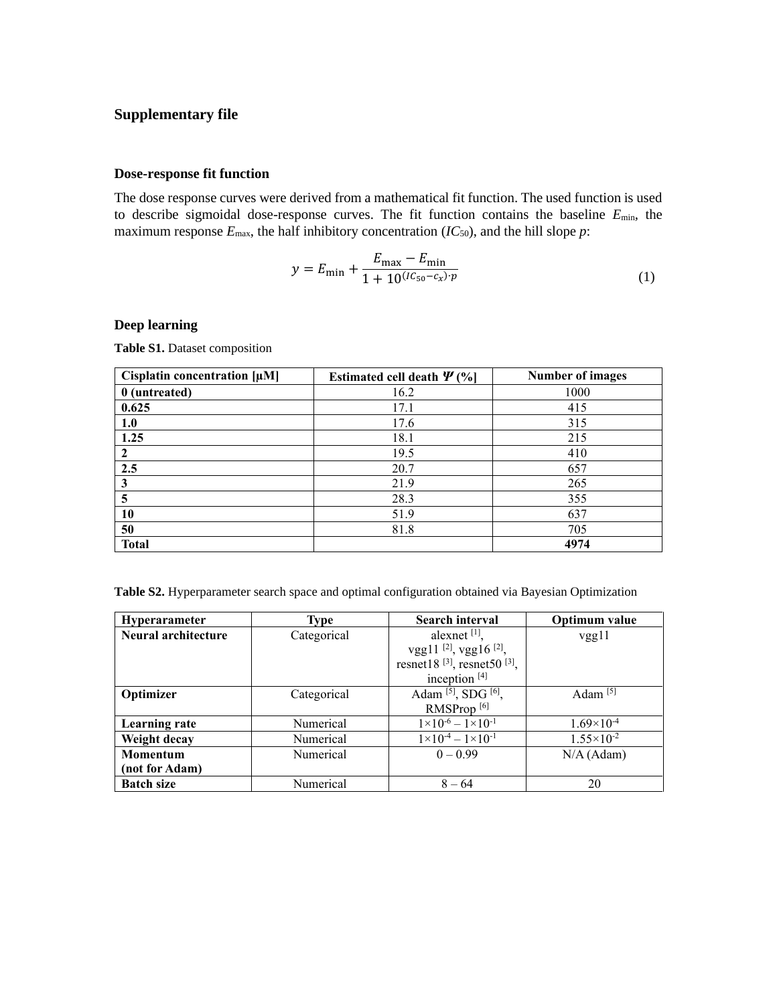## **Supplementary file**

## **Dose-response fit function**

The dose response curves were derived from a mathematical fit function. The used function is used to describe sigmoidal dose-response curves. The fit function contains the baseline *E*min, the maximum response  $E_{\text{max}}$ , the half inhibitory concentration ( $IC_{50}$ ), and the hill slope  $p$ :

$$
y = E_{\min} + \frac{E_{\max} - E_{\min}}{1 + 10^{(IC_{50} - C_x)/p}}
$$
(1)

## **Deep learning**

**Table S1.** Dataset composition

| Cisplatin concentration $[\mu M]$ | Estimated cell death $\Psi$ (%) | <b>Number of images</b> |
|-----------------------------------|---------------------------------|-------------------------|
| 0 (untreated)                     | 16.2                            | 1000                    |
| 0.625                             | 17.1                            | 415                     |
| 1.0                               | 17.6                            | 315                     |
| 1.25                              | 18.1                            | 215                     |
| 2                                 | 19.5                            | 410                     |
| 2.5                               | 20.7                            | 657                     |
| 3                                 | 21.9                            | 265                     |
| 5                                 | 28.3                            | 355                     |
| 10                                | 51.9                            | 637                     |
| 50                                | 81.8                            | 705                     |
| <b>Total</b>                      |                                 | 4974                    |

**Table S2.** Hyperparameter search space and optimal configuration obtained via Bayesian Optimization

| <b>Hyperarameter</b> | Type        | <b>Search interval</b>                              | Optimum value         |
|----------------------|-------------|-----------------------------------------------------|-----------------------|
| Neural architecture  | Categorical | alexnet $[1]$ ,                                     | vgg11                 |
|                      |             | vgg11 $^{[2]}$ , vgg16 $^{[2]}$ ,                   |                       |
|                      |             | resnet18 <sup>[3]</sup> , resnet50 <sup>[3]</sup> , |                       |
|                      |             | inception $[4]$                                     |                       |
| Optimizer            | Categorical | Adam <sup>[5]</sup> , SDG <sup>[6]</sup> ,          | Adam $[5]$            |
|                      |             | RMSProp <sup>[6]</sup>                              |                       |
| <b>Learning rate</b> | Numerical   | $1 \times 10^{-6} - 1 \times 10^{-1}$               | $1.69\times10^{-4}$   |
| Weight decay         | Numerical   | $1 \times 10^{-4} - 1 \times 10^{-1}$               | $1.55 \times 10^{-2}$ |
| Momentum             | Numerical   | $0 - 0.99$                                          | $N/A$ (Adam)          |
| (not for Adam)       |             |                                                     |                       |
| <b>Batch size</b>    | Numerical   | $8 - 64$                                            | 20                    |